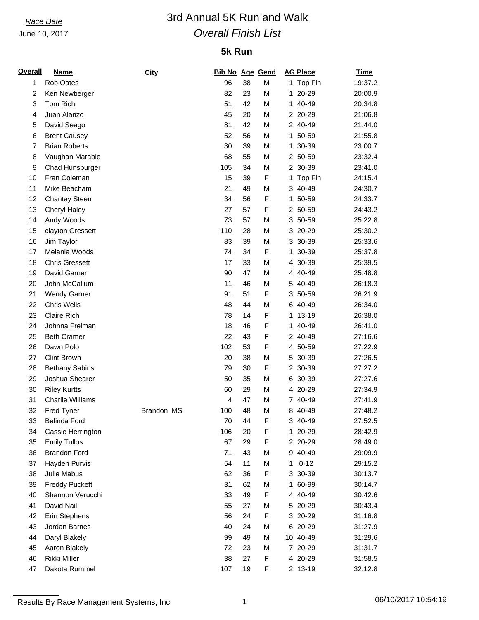June 10, 2017

## *Race Date* 3rd Annual 5K Run and Walk *Overall Finish List*

### **5k Run**

| <b>Overall</b> | <b>Name</b>             | City       | <b>Bib No Age Gend</b> |    |             |    | <b>AG Place</b> | <b>Time</b> |
|----------------|-------------------------|------------|------------------------|----|-------------|----|-----------------|-------------|
| 1              | Rob Oates               |            | 96                     | 38 | М           |    | 1 Top Fin       | 19:37.2     |
| $\overline{c}$ | Ken Newberger           |            | 82                     | 23 | М           |    | 1 20-29         | 20:00.9     |
| 3              | Tom Rich                |            | 51                     | 42 | М           |    | 1 40-49         | 20:34.8     |
| 4              | Juan Alanzo             |            | 45                     | 20 | M           |    | 2 20-29         | 21:06.8     |
| 5              | David Seago             |            | 81                     | 42 | M           |    | 2 40-49         | 21:44.0     |
| 6              | <b>Brent Causey</b>     |            | 52                     | 56 | M           |    | 1 50-59         | 21:55.8     |
| $\overline{7}$ | <b>Brian Roberts</b>    |            | 30                     | 39 | M           | 1. | 30-39           | 23:00.7     |
| 8              | Vaughan Marable         |            | 68                     | 55 | M           |    | 2 50-59         | 23:32.4     |
| 9              | Chad Hunsburger         |            | 105                    | 34 | М           |    | 2 30-39         | 23:41.0     |
| 10             | Fran Coleman            |            | 15                     | 39 | F           | 1. | Top Fin         | 24:15.4     |
| 11             | Mike Beacham            |            | 21                     | 49 | М           |    | 3 40-49         | 24:30.7     |
| 12             | <b>Chantay Steen</b>    |            | 34                     | 56 | F           | 1. | 50-59           | 24:33.7     |
| 13             | Cheryl Haley            |            | 27                     | 57 | F           |    | 2 50-59         | 24:43.2     |
| 14             | Andy Woods              |            | 73                     | 57 | M           |    | 3 50-59         | 25:22.8     |
| 15             | clayton Gressett        |            | 110                    | 28 | M           |    | 3 20-29         | 25:30.2     |
| 16             | Jim Taylor              |            | 83                     | 39 | M           |    | 3 30-39         | 25:33.6     |
| 17             | Melania Woods           |            | 74                     | 34 | F           | 1. | 30-39           | 25:37.8     |
| 18             | <b>Chris Gressett</b>   |            | 17                     | 33 | М           |    | 4 30-39         | 25:39.5     |
| 19             | David Garner            |            | 90                     | 47 | М           |    | 4 40-49         | 25:48.8     |
| 20             | John McCallum           |            | 11                     | 46 | M           | 5. | 40-49           | 26:18.3     |
| 21             | <b>Wendy Garner</b>     |            | 91                     | 51 | F           |    | 3 50-59         | 26:21.9     |
| 22             | <b>Chris Wells</b>      |            | 48                     | 44 | M           |    | 6 40-49         | 26:34.0     |
| 23             | Claire Rich             |            | 78                     | 14 | F           | 1. | 13-19           | 26:38.0     |
| 24             | Johnna Freiman          |            | 18                     | 46 | F           | 1. | 40-49           | 26:41.0     |
| 25             | <b>Beth Cramer</b>      |            | 22                     | 43 | F           |    | 2 40-49         | 27:16.6     |
| 26             | Dawn Polo               |            | 102                    | 53 | F           |    | 4 50-59         | 27:22.9     |
| 27             | <b>Clint Brown</b>      |            | 20                     | 38 | M           |    | 5 30-39         | 27:26.5     |
| 28             | <b>Bethany Sabins</b>   |            | 79                     | 30 | F           |    | 2 30-39         | 27:27.2     |
| 29             | Joshua Shearer          |            | 50                     | 35 | M           |    | 6 30-39         | 27:27.6     |
| 30             | <b>Riley Kurtts</b>     |            | 60                     | 29 | М           |    | 4 20-29         | 27:34.9     |
| 31             | <b>Charlie Williams</b> |            | 4                      | 47 | М           |    | 7 40-49         | 27:41.9     |
| 32             | Fred Tyner              | Brandon MS | 100                    | 48 | M           |    | 8 40-49         | 27:48.2     |
| 33             | Belinda Ford            |            | $70\,$                 | 44 | $\mathsf F$ |    | 3 40-49         | 27:52.5     |
| 34             | Cassie Herrington       |            | 106                    | 20 | F           |    | 1 20-29         | 28:42.9     |
| 35             | <b>Emily Tullos</b>     |            | 67                     | 29 | F           |    | 2 20-29         | 28:49.0     |
| 36             | <b>Brandon Ford</b>     |            | 71                     | 43 | M           |    | 9 40-49         | 29:09.9     |
| 37             | Hayden Purvis           |            | 54                     | 11 | М           | 1  | $0 - 12$        | 29:15.2     |
| 38             | Julie Mabus             |            | 62                     | 36 | F           |    | 3 30-39         | 30:13.7     |
| 39             | <b>Freddy Puckett</b>   |            | 31                     | 62 | М           |    | 1 60-99         | 30:14.7     |
| 40             | Shannon Verucchi        |            | 33                     | 49 | F           |    | 4 40-49         | 30:42.6     |
| 41             | David Nail              |            | 55                     | 27 | M           |    | 5 20-29         | 30:43.4     |
| 42             | Erin Stephens           |            | 56                     | 24 | F           |    | 3 20-29         | 31:16.8     |
| 43             | Jordan Barnes           |            | 40                     | 24 | М           |    | 6 20-29         | 31:27.9     |
| 44             | Daryl Blakely           |            | 99                     | 49 | М           |    | 10 40-49        | 31:29.6     |
| 45             | Aaron Blakely           |            | 72                     | 23 | М           |    | 7 20-29         | 31:31.7     |
| 46             | Rikki Miller            |            | 38                     | 27 | F           |    | 4 20-29         | 31:58.5     |
| 47             | Dakota Rummel           |            | 107                    | 19 | F           |    | 2 13-19         | 32:12.8     |
|                |                         |            |                        |    |             |    |                 |             |

Results By Race Management Systems, Inc. 1 06/10/2017 10:54:19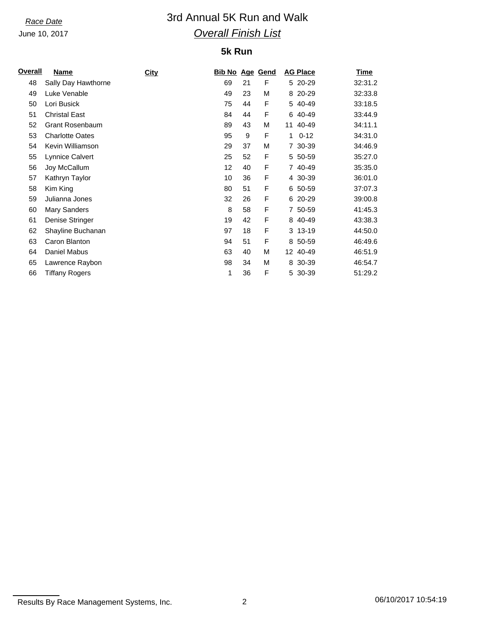June 10, 2017

# *Race Date* 3rd Annual 5K Run and Walk *Overall Finish List*

### **5k Run**

| <u>Overall</u> | Name                   | <b>City</b> | <u>Bib No</u>     |    | <b>Age Gend</b> |    | <b>AG Place</b> | <u>Time</u> |
|----------------|------------------------|-------------|-------------------|----|-----------------|----|-----------------|-------------|
| 48             | Sally Day Hawthorne    |             | 69                | 21 | F               |    | 5 20-29         | 32:31.2     |
| 49             | Luke Venable           |             | 49                | 23 | М               |    | 8 20-29         | 32:33.8     |
| 50             | Lori Busick            |             | 75                | 44 | F               |    | 5 40-49         | 33:18.5     |
| 51             | <b>Christal East</b>   |             | 84                | 44 | F               |    | 6 40-49         | 33:44.9     |
| 52             | <b>Grant Rosenbaum</b> |             | 89                | 43 | M               | 11 | 40-49           | 34:11.1     |
| 53             | <b>Charlotte Oates</b> |             | 95                | 9  | F               | 1  | $0 - 12$        | 34:31.0     |
| 54             | Kevin Williamson       |             | 29                | 37 | М               |    | 7 30-39         | 34:46.9     |
| 55             | Lynnice Calvert        |             | 25                | 52 | F               |    | 5 50-59         | 35:27.0     |
| 56             | Joy McCallum           |             | $12 \overline{ }$ | 40 | F               |    | 7 40-49         | 35:35.0     |
| 57             | Kathryn Taylor         |             | 10                | 36 | F               |    | 4 30-39         | 36:01.0     |
| 58             | Kim King               |             | 80                | 51 | F               |    | 6 50-59         | 37:07.3     |
| 59             | Julianna Jones         |             | 32                | 26 | F               |    | 6 20-29         | 39:00.8     |
| 60             | Mary Sanders           |             | 8                 | 58 | F               |    | 7 50-59         | 41:45.3     |
| 61             | Denise Stringer        |             | 19                | 42 | F               |    | 8 40-49         | 43:38.3     |
| 62             | Shayline Buchanan      |             | 97                | 18 | F               |    | 3 13-19         | 44:50.0     |
| 63             | Caron Blanton          |             | 94                | 51 | F               |    | 8 50-59         | 46:49.6     |
| 64             | Daniel Mabus           |             | 63                | 40 | М               |    | 12 40-49        | 46:51.9     |
| 65             | Lawrence Raybon        |             | 98                | 34 | М               | 8  | 30-39           | 46:54.7     |
| 66             | Tiffany Rogers         |             | 1                 | 36 | F               |    | 5 30-39         | 51:29.2     |
|                |                        |             |                   |    |                 |    |                 |             |

Results By Race Management Systems, Inc. 2 2 2 06/10/2017 10:54:19